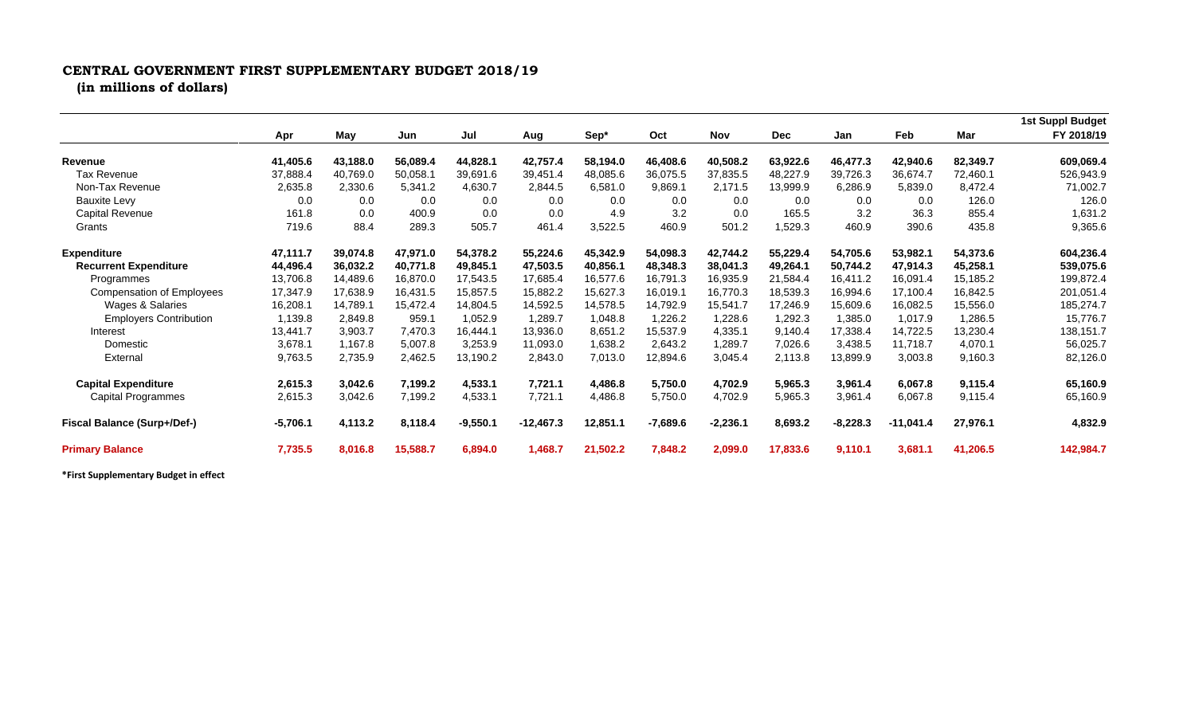## **CENTRAL GOVERNMENT FIRST SUPPLEMENTARY BUDGET 2018/19 (in millions of dollars)**

|                                  | Apr        | May      | Jun      | Jul        | Aug         | Sep*     | Oct        | <b>Nov</b> | <b>Dec</b> | Jan        | Feb       | Mar      | <b>1st Suppl Budget</b><br>FY 2018/19 |
|----------------------------------|------------|----------|----------|------------|-------------|----------|------------|------------|------------|------------|-----------|----------|---------------------------------------|
|                                  |            |          |          |            |             |          |            |            |            |            |           |          |                                       |
| Revenue                          | 41,405.6   | 43,188.0 | 56,089.4 | 44,828.1   | 42,757.4    | 58,194.0 | 46,408.6   | 40,508.2   | 63,922.6   | 46,477.3   | 42,940.6  | 82,349.7 | 609,069.4                             |
| Tax Revenue                      | 37,888.4   | 40,769.0 | 50,058.1 | 39,691.6   | 39,451.4    | 48,085.6 | 36,075.5   | 37,835.5   | 48,227.9   | 39,726.3   | 36,674.7  | 72,460.1 | 526,943.9                             |
| Non-Tax Revenue                  | 2,635.8    | 2,330.6  | 5,341.2  | 4,630.7    | 2,844.5     | 6,581.0  | 9,869.1    | 2,171.5    | 13,999.9   | 6,286.9    | 5,839.0   | 8,472.4  | 71,002.7                              |
| <b>Bauxite Levy</b>              | 0.0        | 0.0      | 0.0      | 0.0        | 0.0         | 0.0      | 0.0        | 0.0        | 0.0        | 0.0        | 0.0       | 126.0    | 126.0                                 |
| Capital Revenue                  | 161.8      | 0.0      | 400.9    | 0.0        | 0.0         | 4.9      | 3.2        | 0.0        | 165.5      | 3.2        | 36.3      | 855.4    | 1,631.2                               |
| Grants                           | 719.6      | 88.4     | 289.3    | 505.7      | 461.4       | 3,522.5  | 460.9      | 501.2      | 1,529.3    | 460.9      | 390.6     | 435.8    | 9,365.6                               |
| <b>Expenditure</b>               | 47,111.7   | 39,074.8 | 47,971.0 | 54,378.2   | 55,224.6    | 45,342.9 | 54,098.3   | 42,744.2   | 55,229.4   | 54,705.6   | 53,982.1  | 54,373.6 | 604,236.4                             |
| <b>Recurrent Expenditure</b>     | 44,496.4   | 36,032.2 | 40,771.8 | 49,845.1   | 47,503.5    | 40,856.1 | 48,348.3   | 38,041.3   | 49,264.1   | 50,744.2   | 47,914.3  | 45,258.1 | 539,075.6                             |
| Programmes                       | 13,706.8   | 14,489.6 | 16,870.0 | 17,543.5   | 17,685.4    | 16,577.6 | 16,791.3   | 16,935.9   | 21,584.4   | 16,411.2   | 16,091.4  | 15,185.2 | 199,872.4                             |
| <b>Compensation of Employees</b> | 17,347.9   | 17,638.9 | 16,431.5 | 15,857.5   | 15,882.2    | 15,627.3 | 16,019.1   | 16,770.3   | 18,539.3   | 16,994.6   | 17,100.4  | 16,842.5 | 201,051.4                             |
| Wages & Salaries                 | 16,208.1   | 14,789.1 | 15,472.4 | 14,804.5   | 14,592.5    | 14,578.5 | 14,792.9   | 15,541.7   | 17,246.9   | 15,609.6   | 16,082.5  | 15,556.0 | 185,274.7                             |
| <b>Employers Contribution</b>    | 1,139.8    | 2,849.8  | 959.1    | 1,052.9    | 1,289.7     | 1,048.8  | 1,226.2    | 1,228.6    | 1,292.3    | 1,385.0    | 1,017.9   | 1,286.5  | 15,776.7                              |
| Interest                         | 13,441.7   | 3,903.7  | 7,470.3  | 16.444.1   | 13,936.0    | 8,651.2  | 15,537.9   | 4,335.1    | 9,140.4    | 17,338.4   | 14,722.5  | 13,230.4 | 138,151.7                             |
| Domestic                         | 3,678.1    | 1,167.8  | 5,007.8  | 3,253.9    | 11,093.0    | 1,638.2  | 2,643.2    | 1,289.7    | 7,026.6    | 3,438.5    | 11,718.7  | 4,070.1  | 56,025.7                              |
| External                         | 9,763.5    | 2,735.9  | 2,462.5  | 13,190.2   | 2,843.0     | 7,013.0  | 12,894.6   | 3,045.4    | 2,113.8    | 13,899.9   | 3,003.8   | 9,160.3  | 82,126.0                              |
| <b>Capital Expenditure</b>       | 2,615.3    | 3,042.6  | 7,199.2  | 4,533.1    | 7,721.1     | 4,486.8  | 5,750.0    | 4,702.9    | 5,965.3    | 3,961.4    | 6,067.8   | 9,115.4  | 65,160.9                              |
| Capital Programmes               | 2,615.3    | 3,042.6  | 7,199.2  | 4,533.1    | 7,721.1     | 4,486.8  | 5,750.0    | 4,702.9    | 5,965.3    | 3,961.4    | 6,067.8   | 9,115.4  | 65,160.9                              |
| Fiscal Balance (Surp+/Def-)      | $-5,706.1$ | 4,113.2  | 8,118.4  | $-9,550.1$ | $-12,467.3$ | 12,851.1 | $-7,689.6$ | $-2,236.1$ | 8,693.2    | $-8,228.3$ | -11,041.4 | 27,976.1 | 4,832.9                               |
| <b>Primary Balance</b>           | 7,735.5    | 8,016.8  | 15,588.7 | 6,894.0    | 1,468.7     | 21,502.2 | 7,848.2    | 2,099.0    | 17,833.6   | 9,110.1    | 3,681.1   | 41,206.5 | 142,984.7                             |

**\*First Supplementary Budget in effect**